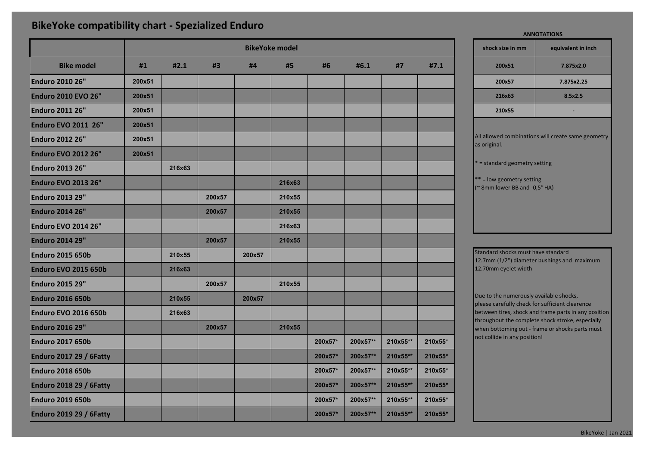## **BikeYoke compatibility chart - Spezialized Enduro**

|                                | <b>BikeYoke model</b> |        |        |        |        |         |          | shock size in mm<br>equivalent in i |         |  |                                                                                           |            |  |
|--------------------------------|-----------------------|--------|--------|--------|--------|---------|----------|-------------------------------------|---------|--|-------------------------------------------------------------------------------------------|------------|--|
| <b>Bike model</b>              | #1                    | #2.1   | #3     | #4     | #5     | #6      | #6.1     | #7                                  | #7.1    |  | 200x51                                                                                    | 7.875x2.0  |  |
| <b>Enduro 2010 26"</b>         | 200x51                |        |        |        |        |         |          |                                     |         |  | 200x57                                                                                    | 7.875x2.25 |  |
| <b>Enduro 2010 EVO 26"</b>     | 200x51                |        |        |        |        |         |          |                                     |         |  | 216x63                                                                                    | 8.5x2.5    |  |
| <b>Enduro 2011 26"</b>         | 200x51                |        |        |        |        |         |          |                                     |         |  | 210x55                                                                                    |            |  |
| <b>Enduro EVO 2011 26"</b>     | 200x51                |        |        |        |        |         |          |                                     |         |  |                                                                                           |            |  |
| <b>Enduro 2012 26"</b>         | 200x51                |        |        |        |        |         |          |                                     |         |  | All allowed combinations will create same g<br>as original.                               |            |  |
| <b>Enduro EVO 2012 26"</b>     | 200x51                |        |        |        |        |         |          |                                     |         |  |                                                                                           |            |  |
| <b>Enduro 2013 26"</b>         |                       | 216x63 |        |        |        |         |          |                                     |         |  | * = standard geometry setting                                                             |            |  |
| <b>Enduro EVO 2013 26"</b>     |                       |        |        |        | 216x63 |         |          |                                     |         |  | ** = low geometry setting<br>(~ 8mm lower BB and -0,5° HA)                                |            |  |
| <b>Enduro 2013 29"</b>         |                       |        | 200x57 |        | 210x55 |         |          |                                     |         |  |                                                                                           |            |  |
| <b>Enduro 2014 26"</b>         |                       |        | 200x57 |        | 210x55 |         |          |                                     |         |  |                                                                                           |            |  |
| <b>Enduro EVO 2014 26"</b>     |                       |        |        |        | 216x63 |         |          |                                     |         |  |                                                                                           |            |  |
| <b>Enduro 2014 29"</b>         |                       |        | 200x57 |        | 210x55 |         |          |                                     |         |  |                                                                                           |            |  |
| <b>Enduro 2015 650b</b>        |                       | 210x55 |        | 200x57 |        |         |          |                                     |         |  | Standard shocks must have standard                                                        |            |  |
| <b>Enduro EVO 2015 650b</b>    |                       | 216x63 |        |        |        |         |          |                                     |         |  | 12.7mm (1/2") diameter bushings and maxi<br>12.70mm eyelet width                          |            |  |
| <b>Enduro 2015 29"</b>         |                       |        | 200x57 |        | 210x55 |         |          |                                     |         |  |                                                                                           |            |  |
| <b>Enduro 2016 650b</b>        |                       | 210x55 |        | 200x57 |        |         |          |                                     |         |  | Due to the numerously available shocks,<br>please carefully check for sufficient clearend |            |  |
| <b>Enduro EVO 2016 650b</b>    |                       | 216x63 |        |        |        |         |          |                                     |         |  | between tires, shock and frame parts in any                                               |            |  |
| <b>Enduro 2016 29"</b>         |                       |        | 200x57 |        | 210x55 |         |          |                                     |         |  | throughout the complete shock stroke, espe<br>when bottoming out - frame or shocks parts  |            |  |
| <b>Enduro 2017 650b</b>        |                       |        |        |        |        | 200x57* | 200x57** | 210x55**                            | 210x55* |  | not collide in any position!                                                              |            |  |
| <b>Enduro 2017 29 / 6Fatty</b> |                       |        |        |        |        | 200x57* | 200x57** | 210x55**                            | 210x55* |  |                                                                                           |            |  |
| <b>Enduro 2018 650b</b>        |                       |        |        |        |        | 200x57* | 200x57** | 210x55**                            | 210x55* |  |                                                                                           |            |  |
| Enduro 2018 29 / 6Fatty        |                       |        |        |        |        | 200x57* | 200x57** | 210x55**                            | 210x55* |  |                                                                                           |            |  |
| <b>Enduro 2019 650b</b>        |                       |        |        |        |        | 200x57* | 200x57** | 210x55**                            | 210x55* |  |                                                                                           |            |  |
| Enduro 2019 29 / 6Fatty        |                       |        |        |        |        | 200x57* | 200x57** | 210x55**                            | 210x55* |  |                                                                                           |            |  |

**shock size in mm equivalent in inch** standard geometry setting = low geometry setting  $8$ mm lower BB and -0,5 $^{\circ}$  HA) **ANNOTATIONS** allowed combinations will create same geometry original.

ndard shocks must have standard  $7$ mm (1/2") diameter bushings and maximum 70mm eyelet width

e to the numerously available shocks, ase carefully check for sufficient clearence ween tires, shock and frame parts in any position oughout the complete shock stroke, especially en bottoming out - frame or shocks parts must collide in any position!